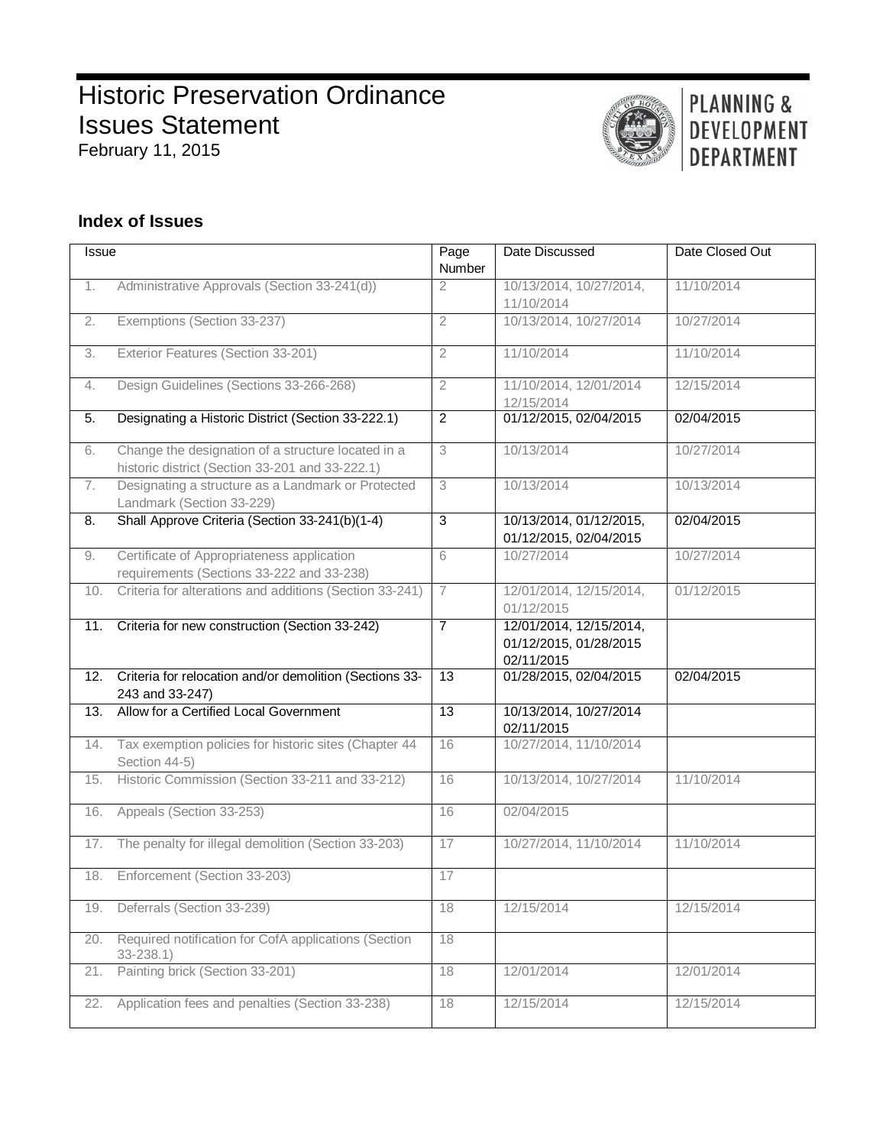# **Historic Preservation Ordinance** Issues Statement February 11, 2015

# PLANNING & DEVELOPMENT **DEPARTMENT**

# **Index of Issues**

| <b>Issue</b> |                                                                                                       | Page<br>Number  | Date Discussed                                                  | Date Closed Out |
|--------------|-------------------------------------------------------------------------------------------------------|-----------------|-----------------------------------------------------------------|-----------------|
| 1.           | Administrative Approvals (Section 33-241(d))                                                          | $\mathfrak{D}$  | 10/13/2014, 10/27/2014,<br>11/10/2014                           | 11/10/2014      |
| 2.           | Exemptions (Section 33-237)                                                                           | $\overline{2}$  | 10/13/2014, 10/27/2014                                          | 10/27/2014      |
| 3.           | Exterior Features (Section 33-201)                                                                    | $\overline{2}$  | 11/10/2014                                                      | 11/10/2014      |
| 4.           | Design Guidelines (Sections 33-266-268)                                                               | $\overline{2}$  | 11/10/2014, 12/01/2014<br>12/15/2014                            | 12/15/2014      |
| 5.           | Designating a Historic District (Section 33-222.1)                                                    | $\overline{2}$  | 01/12/2015, 02/04/2015                                          | 02/04/2015      |
| 6.           | Change the designation of a structure located in a<br>historic district (Section 33-201 and 33-222.1) | 3               | 10/13/2014                                                      | 10/27/2014      |
| 7.           | Designating a structure as a Landmark or Protected<br>Landmark (Section 33-229)                       | 3               | 10/13/2014                                                      | 10/13/2014      |
| 8.           | Shall Approve Criteria (Section 33-241(b)(1-4)                                                        | $\overline{3}$  | 10/13/2014, 01/12/2015,<br>01/12/2015, 02/04/2015               | 02/04/2015      |
| 9.           | Certificate of Appropriateness application<br>requirements (Sections 33-222 and 33-238)               | 6               | 10/27/2014                                                      | 10/27/2014      |
| 10.          | Criteria for alterations and additions (Section 33-241)                                               | $\overline{7}$  | 12/01/2014, 12/15/2014,<br>01/12/2015                           | 01/12/2015      |
| 11.          | Criteria for new construction (Section 33-242)                                                        | $\overline{7}$  | 12/01/2014, 12/15/2014,<br>01/12/2015, 01/28/2015<br>02/11/2015 |                 |
| 12.          | Criteria for relocation and/or demolition (Sections 33-<br>243 and 33-247)                            | 13              | 01/28/2015, 02/04/2015                                          | 02/04/2015      |
| 13.          | Allow for a Certified Local Government                                                                | $\overline{13}$ | 10/13/2014, 10/27/2014<br>02/11/2015                            |                 |
| 14.          | Tax exemption policies for historic sites (Chapter 44<br>Section 44-5)                                | 16              | 10/27/2014, 11/10/2014                                          |                 |
| 15.          | Historic Commission (Section 33-211 and 33-212)                                                       | 16              | 10/13/2014, 10/27/2014                                          | 11/10/2014      |
| 16.          | Appeals (Section 33-253)                                                                              | 16              | 02/04/2015                                                      |                 |
| 17.          | The penalty for illegal demolition (Section 33-203)                                                   | 17              | 10/27/2014, 11/10/2014                                          | 11/10/2014      |
| 18.          | Enforcement (Section 33-203)                                                                          | 17              |                                                                 |                 |
| 19.          | Deferrals (Section 33-239)                                                                            | 18              | 12/15/2014                                                      | 12/15/2014      |
| 20.          | Required notification for CofA applications (Section<br>$33 - 238.1$                                  | 18              |                                                                 |                 |
| 21.          | Painting brick (Section 33-201)                                                                       | 18              | 12/01/2014                                                      | 12/01/2014      |
| 22.          | Application fees and penalties (Section 33-238)                                                       | 18              | 12/15/2014                                                      | 12/15/2014      |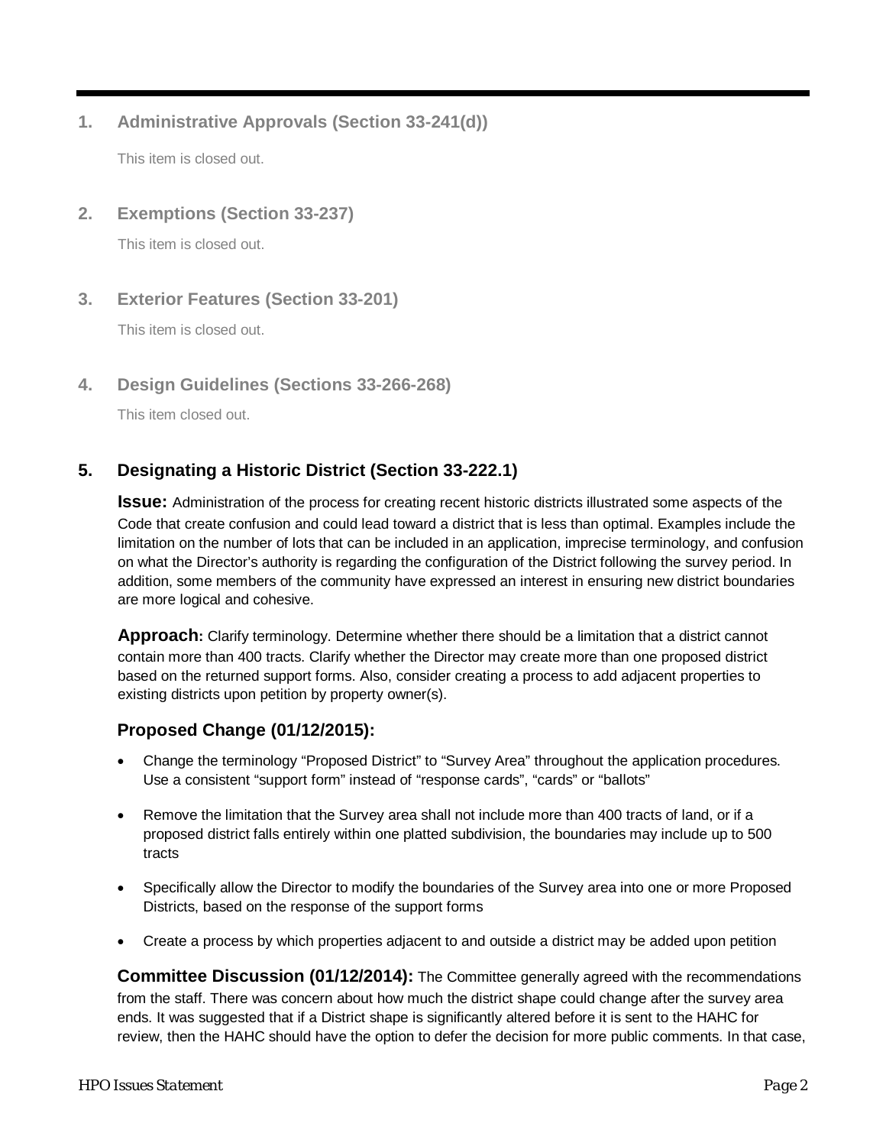# **1. Administrative Approvals (Section 33-241(d))**

This item is closed out.

### **2. Exemptions (Section 33-237)**

This item is closed out.

### **3. Exterior Features (Section 33-201)**

This item is closed out.

### **4. Design Guidelines (Sections 33-266-268)**

This item closed out.

# <span id="page-1-0"></span>**5. Designating a Historic District (Section 33-222.1)**

**Issue:** Administration of the process for creating recent historic districts illustrated some aspects of the Code that create confusion and could lead toward a district that is less than optimal. Examples include the limitation on the number of lots that can be included in an application, imprecise terminology, and confusion on what the Director's authority is regarding the configuration of the District following the survey period. In addition, some members of the community have expressed an interest in ensuring new district boundaries are more logical and cohesive.

**Approach:** Clarify terminology. Determine whether there should be a limitation that a district cannot contain more than 400 tracts. Clarify whether the Director may create more than one proposed district based on the returned support forms. Also, consider creating a process to add adjacent properties to existing districts upon petition by property owner(s).

### **Proposed Change (01/12/2015):**

- Change the terminology "Proposed District" to "Survey Area" throughout the application procedures. Use a consistent "support form" instead of "response cards", "cards" or "ballots"
- Remove the limitation that the Survey area shall not include more than 400 tracts of land, or if a proposed district falls entirely within one platted subdivision, the boundaries may include up to 500 tracts
- Specifically allow the Director to modify the boundaries of the Survey area into one or more Proposed Districts, based on the response of the support forms
- Create a process by which properties adjacent to and outside a district may be added upon petition

**Committee Discussion (01/12/2014):** The Committee generally agreed with the recommendations from the staff. There was concern about how much the district shape could change after the survey area ends. It was suggested that if a District shape is significantly altered before it is sent to the HAHC for review, then the HAHC should have the option to defer the decision for more public comments. In that case,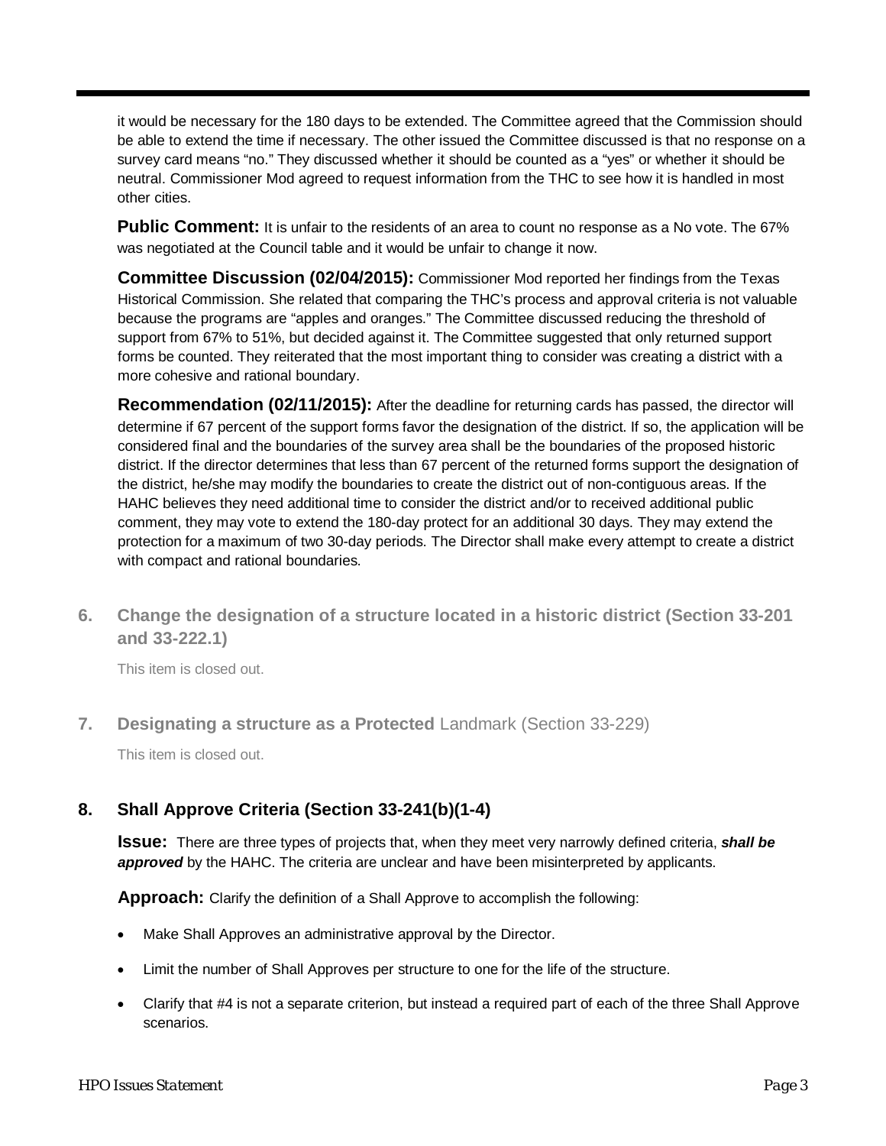it would be necessary for the 180 days to be extended. The Committee agreed that the Commission should be able to extend the time if necessary. The other issued the Committee discussed is that no response on a survey card means "no." They discussed whether it should be counted as a "yes" or whether it should be neutral. Commissioner Mod agreed to request information from the THC to see how it is handled in most other cities.

**Public Comment:** It is unfair to the residents of an area to count no response as a No vote. The 67% was negotiated at the Council table and it would be unfair to change it now.

**Committee Discussion (02/04/2015):** Commissioner Mod reported her findings from the Texas Historical Commission. She related that comparing the THC's process and approval criteria is not valuable because the programs are "apples and oranges." The Committee discussed reducing the threshold of support from 67% to 51%, but decided against it. The Committee suggested that only returned support forms be counted. They reiterated that the most important thing to consider was creating a district with a more cohesive and rational boundary.

**Recommendation (02/11/2015):** After the deadline for returning cards has passed, the director will determine if 67 percent of the support forms favor the designation of the district. If so, the application will be considered final and the boundaries of the survey area shall be the boundaries of the proposed historic district. If the director determines that less than 67 percent of the returned forms support the designation of the district, he/she may modify the boundaries to create the district out of non-contiguous areas. If the HAHC believes they need additional time to consider the district and/or to received additional public comment, they may vote to extend the 180-day protect for an additional 30 days. They may extend the protection for a maximum of two 30-day periods. The Director shall make every attempt to create a district with compact and rational boundaries.

**6. Change the designation of a structure located in a historic district (Section 33-201 and 33-222.1)**

<span id="page-2-0"></span>This item is closed out.

**7. Designating a structure as a Protected** Landmark (Section 33-229)

This item is closed out.

# <span id="page-2-1"></span>**8. Shall Approve Criteria (Section 33-241(b)(1-4)**

**Issue:** There are three types of projects that, when they meet very narrowly defined criteria, *shall be approved* by the HAHC. The criteria are unclear and have been misinterpreted by applicants.

**Approach:** Clarify the definition of a Shall Approve to accomplish the following:

- Make Shall Approves an administrative approval by the Director.
- Limit the number of Shall Approves per structure to one for the life of the structure.
- Clarify that #4 is not a separate criterion, but instead a required part of each of the three Shall Approve scenarios.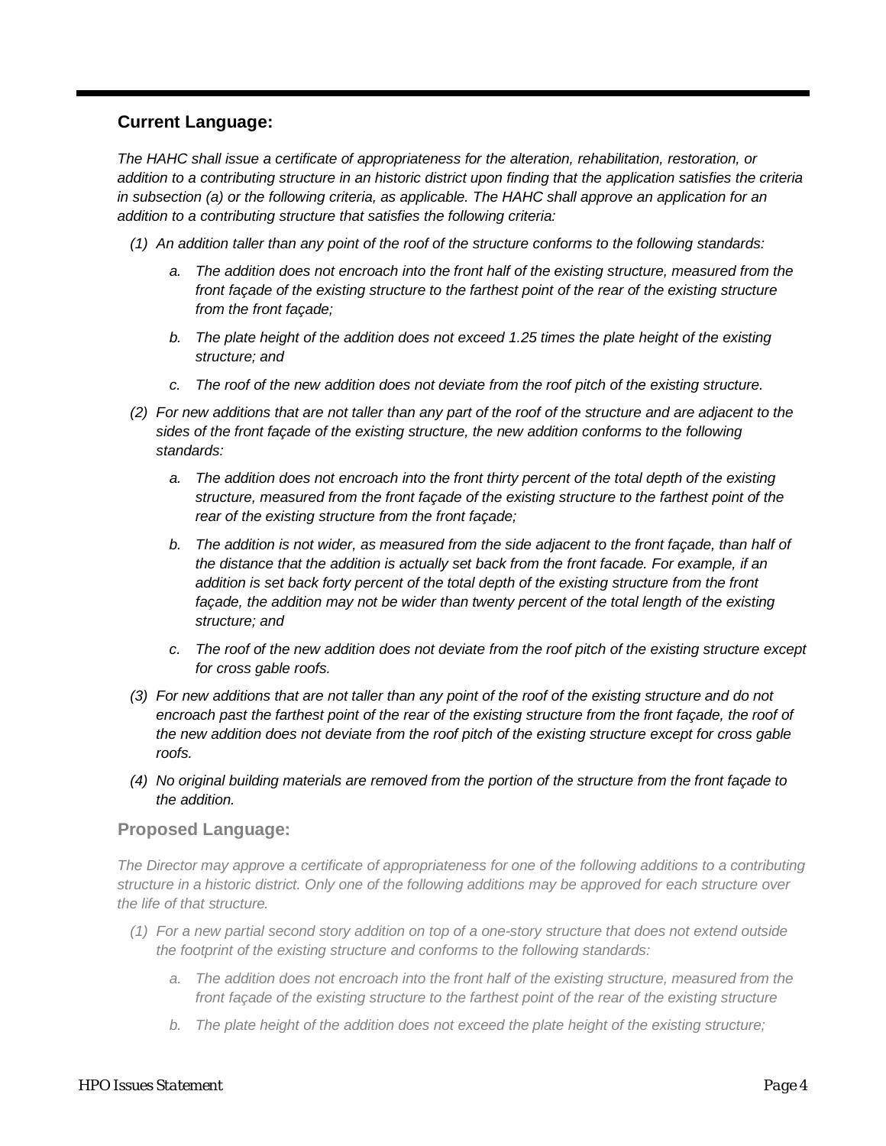### **Current Language:**

*The HAHC shall issue a certificate of appropriateness for the alteration, rehabilitation, restoration, or addition to a contributing structure in an historic district upon finding that the application satisfies the criteria*  in subsection (a) or the following criteria, as applicable. The HAHC shall approve an application for an *addition to a contributing structure that satisfies the following criteria:*

*(1) An addition taller than any point of the roof of the structure conforms to the following standards:*

- *a. The addition does not encroach into the front half of the existing structure, measured from the front façade of the existing structure to the farthest point of the rear of the existing structure from the front façade;*
- *b. The plate height of the addition does not exceed 1.25 times the plate height of the existing structure; and*
- *c. The roof of the new addition does not deviate from the roof pitch of the existing structure.*
- *(2) For new additions that are not taller than any part of the roof of the structure and are adjacent to the sides of the front façade of the existing structure, the new addition conforms to the following standards:*
	- *a. The addition does not encroach into the front thirty percent of the total depth of the existing structure, measured from the front façade of the existing structure to the farthest point of the rear of the existing structure from the front façade;*
	- *b. The addition is not wider, as measured from the side adjacent to the front façade, than half of the distance that the addition is actually set back from the front facade. For example, if an addition is set back forty percent of the total depth of the existing structure from the front façade, the addition may not be wider than twenty percent of the total length of the existing structure; and*
	- *c. The roof of the new addition does not deviate from the roof pitch of the existing structure except for cross gable roofs.*
- *(3) For new additions that are not taller than any point of the roof of the existing structure and do not*  encroach past the farthest point of the rear of the existing structure from the front façade, the roof of *the new addition does not deviate from the roof pitch of the existing structure except for cross gable roofs.*
- *(4) No original building materials are removed from the portion of the structure from the front façade to the addition.*

### **Proposed Language:**

*The Director may approve a certificate of appropriateness for one of the following additions to a contributing structure in a historic district. Only one of the following additions may be approved for each structure over the life of that structure.*

- *(1) For a new partial second story addition on top of a one-story structure that does not extend outside the footprint of the existing structure and conforms to the following standards:*
	- *a. The addition does not encroach into the front half of the existing structure, measured from the front façade of the existing structure to the farthest point of the rear of the existing structure*
	- *b. The plate height of the addition does not exceed the plate height of the existing structure;*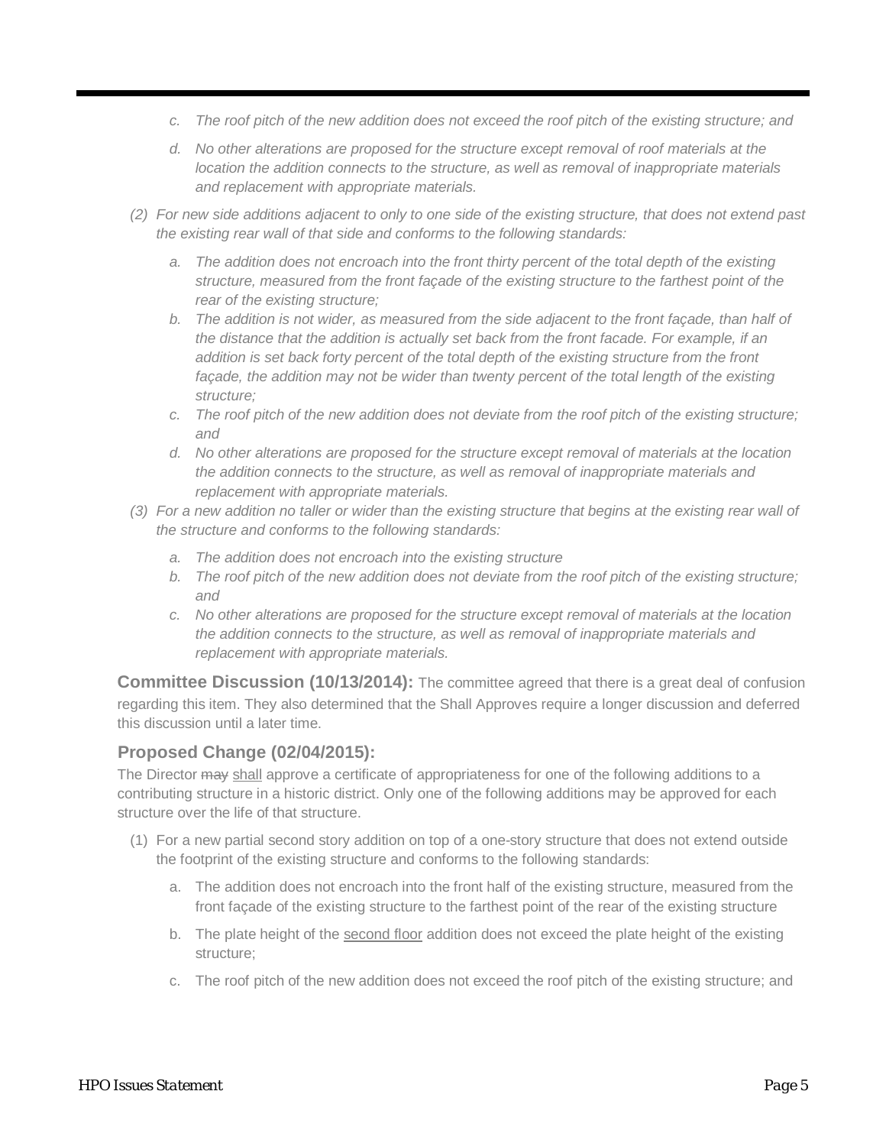- *c. The roof pitch of the new addition does not exceed the roof pitch of the existing structure; and*
- *d. No other alterations are proposed for the structure except removal of roof materials at the location the addition connects to the structure, as well as removal of inappropriate materials and replacement with appropriate materials.*
- *(2) For new side additions adjacent to only to one side of the existing structure, that does not extend past the existing rear wall of that side and conforms to the following standards:* 
	- *a. The addition does not encroach into the front thirty percent of the total depth of the existing structure, measured from the front façade of the existing structure to the farthest point of the rear of the existing structure;*
	- *b. The addition is not wider, as measured from the side adjacent to the front façade, than half of the distance that the addition is actually set back from the front facade. For example, if an addition is set back forty percent of the total depth of the existing structure from the front*  façade, the addition may not be wider than twenty percent of the total length of the existing *structure;*
	- *c. The roof pitch of the new addition does not deviate from the roof pitch of the existing structure; and*
	- *d. No other alterations are proposed for the structure except removal of materials at the location the addition connects to the structure, as well as removal of inappropriate materials and replacement with appropriate materials.*
- *(3) For a new addition no taller or wider than the existing structure that begins at the existing rear wall of the structure and conforms to the following standards:* 
	- *a. The addition does not encroach into the existing structure*
	- *b. The roof pitch of the new addition does not deviate from the roof pitch of the existing structure; and*
	- *c. No other alterations are proposed for the structure except removal of materials at the location the addition connects to the structure, as well as removal of inappropriate materials and replacement with appropriate materials.*

**Committee Discussion (10/13/2014):** The committee agreed that there is a great deal of confusion regarding this item. They also determined that the Shall Approves require a longer discussion and deferred this discussion until a later time.

### **Proposed Change (02/04/2015):**

The Director may shall approve a certificate of appropriateness for one of the following additions to a contributing structure in a historic district. Only one of the following additions may be approved for each structure over the life of that structure.

- (1) For a new partial second story addition on top of a one-story structure that does not extend outside the footprint of the existing structure and conforms to the following standards:
	- a. The addition does not encroach into the front half of the existing structure, measured from the front façade of the existing structure to the farthest point of the rear of the existing structure
	- b. The plate height of the second floor addition does not exceed the plate height of the existing structure;
	- c. The roof pitch of the new addition does not exceed the roof pitch of the existing structure; and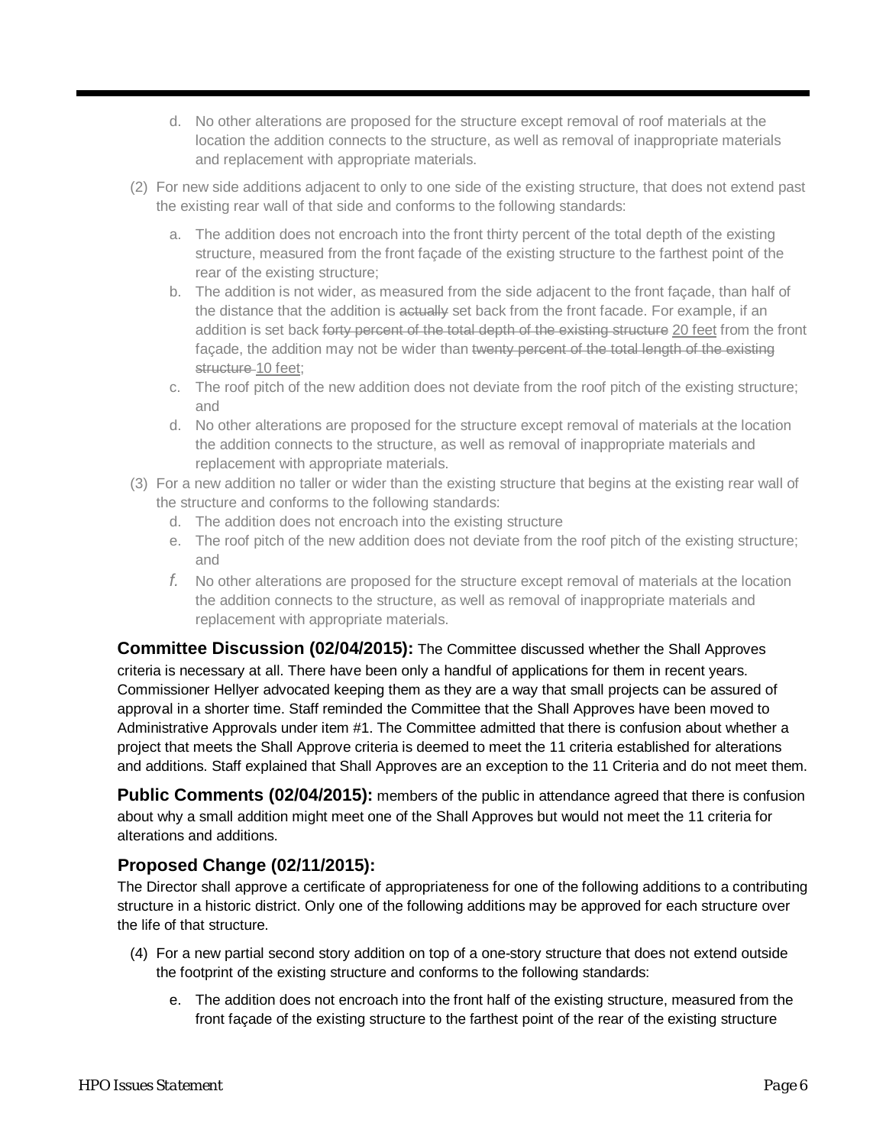- d. No other alterations are proposed for the structure except removal of roof materials at the location the addition connects to the structure, as well as removal of inappropriate materials and replacement with appropriate materials.
- (2) For new side additions adjacent to only to one side of the existing structure, that does not extend past the existing rear wall of that side and conforms to the following standards:
	- a. The addition does not encroach into the front thirty percent of the total depth of the existing structure, measured from the front façade of the existing structure to the farthest point of the rear of the existing structure;
	- b. The addition is not wider, as measured from the side adjacent to the front façade, than half of the distance that the addition is actually set back from the front facade. For example, if an addition is set back forty percent of the total depth of the existing structure 20 feet from the front façade, the addition may not be wider than twenty percent of the total length of the existing structure 10 feet:
	- c. The roof pitch of the new addition does not deviate from the roof pitch of the existing structure; and
	- d. No other alterations are proposed for the structure except removal of materials at the location the addition connects to the structure, as well as removal of inappropriate materials and replacement with appropriate materials.
- (3) For a new addition no taller or wider than the existing structure that begins at the existing rear wall of the structure and conforms to the following standards:
	- d. The addition does not encroach into the existing structure
	- e. The roof pitch of the new addition does not deviate from the roof pitch of the existing structure; and
	- *f.* No other alterations are proposed for the structure except removal of materials at the location the addition connects to the structure, as well as removal of inappropriate materials and replacement with appropriate materials.

<span id="page-5-0"></span>**Committee Discussion (02/04/2015):** The Committee discussed whether the Shall Approves criteria is necessary at all. There have been only a handful of applications for them in recent years. Commissioner Hellyer advocated keeping them as they are a way that small projects can be assured of approval in a shorter time. Staff reminded the Committee that the Shall Approves have been moved to Administrative Approvals under item #1. The Committee admitted that there is confusion about whether a project that meets the Shall Approve criteria is deemed to meet the 11 criteria established for alterations and additions. Staff explained that Shall Approves are an exception to the 11 Criteria and do not meet them.

**Public Comments (02/04/2015):** members of the public in attendance agreed that there is confusion about why a small addition might meet one of the Shall Approves but would not meet the 11 criteria for alterations and additions.

# **Proposed Change (02/11/2015):**

The Director shall approve a certificate of appropriateness for one of the following additions to a contributing structure in a historic district. Only one of the following additions may be approved for each structure over the life of that structure.

- (4) For a new partial second story addition on top of a one-story structure that does not extend outside the footprint of the existing structure and conforms to the following standards:
	- e. The addition does not encroach into the front half of the existing structure, measured from the front façade of the existing structure to the farthest point of the rear of the existing structure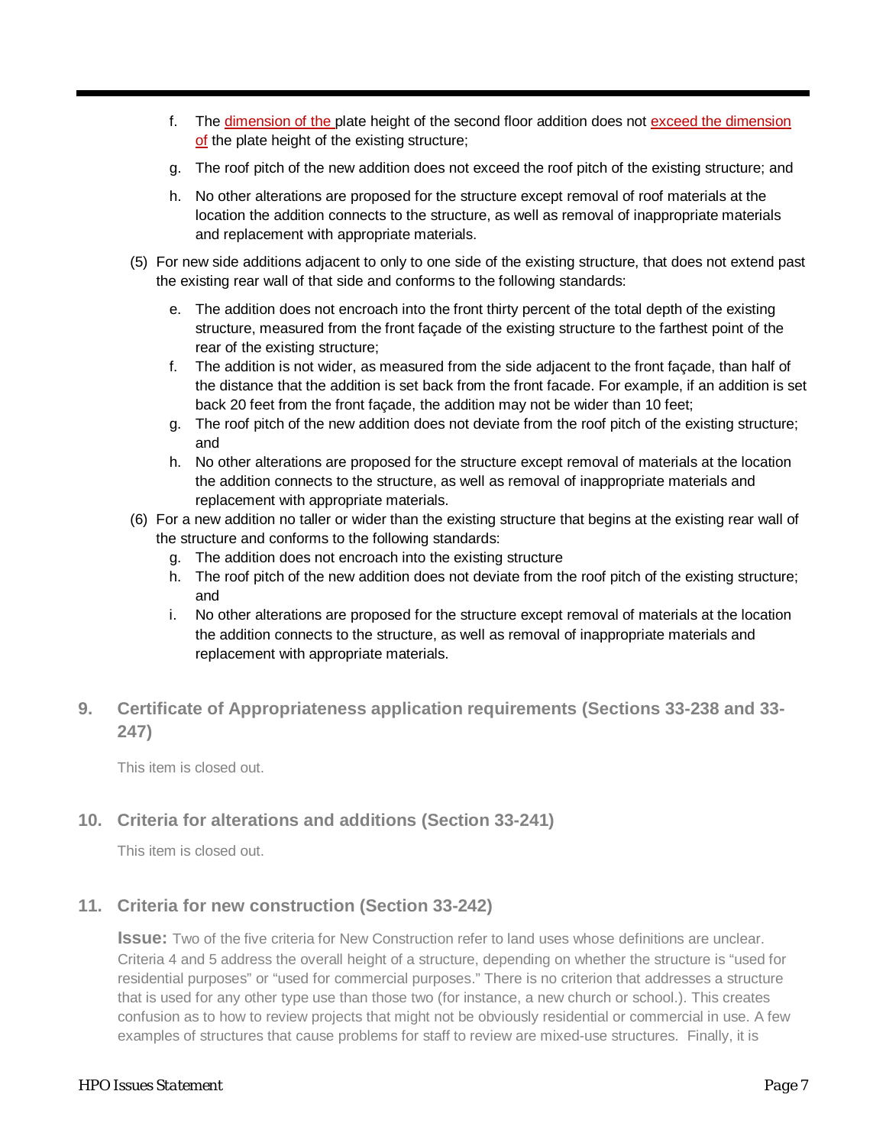- f. The dimension of the plate height of the second floor addition does not exceed the dimension of the plate height of the existing structure;
- g. The roof pitch of the new addition does not exceed the roof pitch of the existing structure; and
- h. No other alterations are proposed for the structure except removal of roof materials at the location the addition connects to the structure, as well as removal of inappropriate materials and replacement with appropriate materials.
- (5) For new side additions adjacent to only to one side of the existing structure, that does not extend past the existing rear wall of that side and conforms to the following standards:
	- e. The addition does not encroach into the front thirty percent of the total depth of the existing structure, measured from the front façade of the existing structure to the farthest point of the rear of the existing structure;
	- f. The addition is not wider, as measured from the side adjacent to the front façade, than half of the distance that the addition is set back from the front facade. For example, if an addition is set back 20 feet from the front façade, the addition may not be wider than 10 feet;
	- g. The roof pitch of the new addition does not deviate from the roof pitch of the existing structure; and
	- h. No other alterations are proposed for the structure except removal of materials at the location the addition connects to the structure, as well as removal of inappropriate materials and replacement with appropriate materials.
- (6) For a new addition no taller or wider than the existing structure that begins at the existing rear wall of the structure and conforms to the following standards:
	- g. The addition does not encroach into the existing structure
	- h. The roof pitch of the new addition does not deviate from the roof pitch of the existing structure; and
	- i. No other alterations are proposed for the structure except removal of materials at the location the addition connects to the structure, as well as removal of inappropriate materials and replacement with appropriate materials.

# **9. Certificate of Appropriateness application requirements (Sections 33-238 and 33- 247)**

This item is closed out.

### **10. Criteria for alterations and additions (Section 33-241)**

This item is closed out.

### **11. Criteria for new construction (Section 33-242)**

**Issue:** Two of the five criteria for New Construction refer to land uses whose definitions are unclear. Criteria 4 and 5 address the overall height of a structure, depending on whether the structure is "used for residential purposes" or "used for commercial purposes." There is no criterion that addresses a structure that is used for any other type use than those two (for instance, a new church or school.). This creates confusion as to how to review projects that might not be obviously residential or commercial in use. A few examples of structures that cause problems for staff to review are mixed-use structures. Finally, it is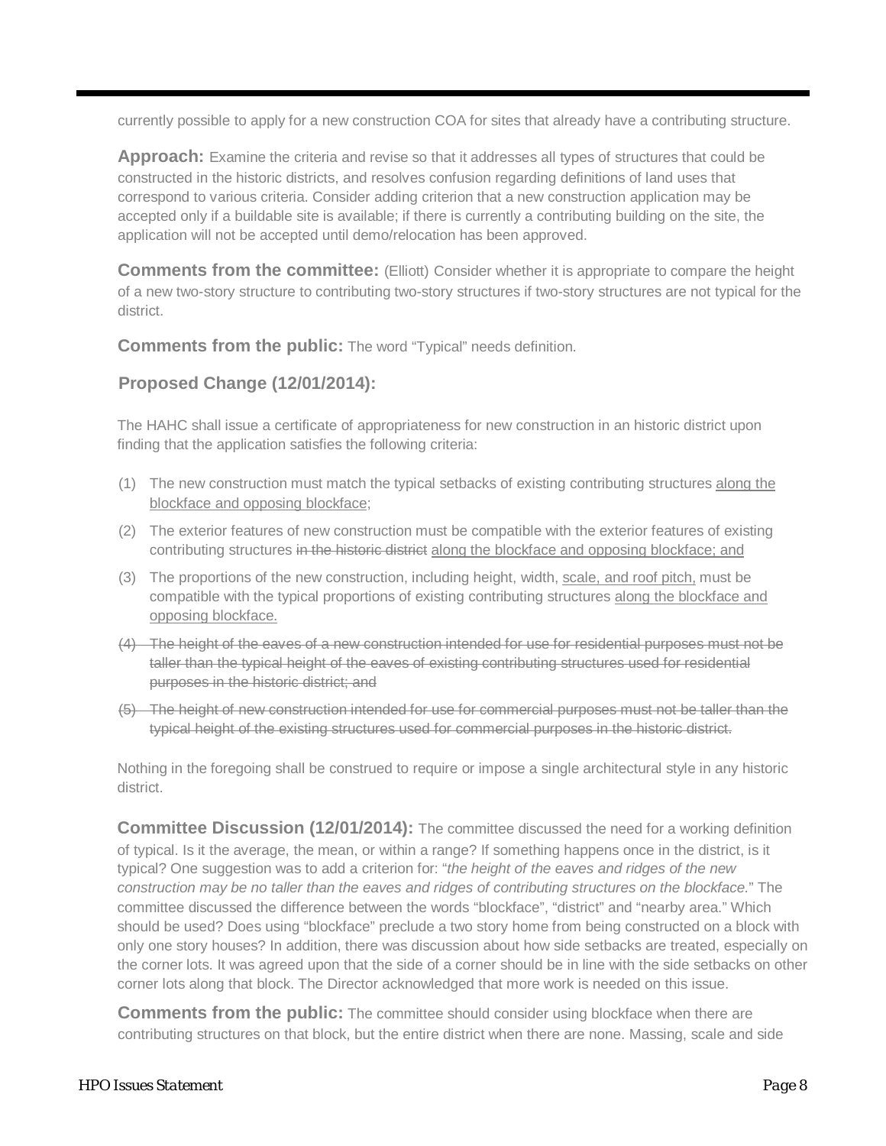currently possible to apply for a new construction COA for sites that already have a contributing structure.

**Approach:** Examine the criteria and revise so that it addresses all types of structures that could be constructed in the historic districts, and resolves confusion regarding definitions of land uses that correspond to various criteria. Consider adding criterion that a new construction application may be accepted only if a buildable site is available; if there is currently a contributing building on the site, the application will not be accepted until demo/relocation has been approved.

**Comments from the committee:** (Elliott) Consider whether it is appropriate to compare the height of a new two-story structure to contributing two-story structures if two-story structures are not typical for the district.

**Comments from the public:** The word "Typical" needs definition.

### **Proposed Change (12/01/2014):**

The HAHC shall issue a certificate of appropriateness for new construction in an historic district upon finding that the application satisfies the following criteria:

- (1) The new construction must match the typical setbacks of existing contributing structures along the blockface and opposing blockface;
- (2) The exterior features of new construction must be compatible with the exterior features of existing contributing structures in the historic district along the blockface and opposing blockface; and
- (3) The proportions of the new construction, including height, width, scale, and roof pitch, must be compatible with the typical proportions of existing contributing structures along the blockface and opposing blockface.
- (4) The height of the eaves of a new construction intended for use for residential purposes must not be taller than the typical height of the eaves of existing contributing structures used for residential purposes in the historic district; and
- (5) The height of new construction intended for use for commercial purposes must not be taller than the typical height of the existing structures used for commercial purposes in the historic district.

Nothing in the foregoing shall be construed to require or impose a single architectural style in any historic district.

**Committee Discussion (12/01/2014):** The committee discussed the need for a working definition of typical. Is it the average, the mean, or within a range? If something happens once in the district, is it typical? One suggestion was to add a criterion for: "*the height of the eaves and ridges of the new construction may be no taller than the eaves and ridges of contributing structures on the blockface.*" The committee discussed the difference between the words "blockface", "district" and "nearby area." Which should be used? Does using "blockface" preclude a two story home from being constructed on a block with only one story houses? In addition, there was discussion about how side setbacks are treated, especially on the corner lots. It was agreed upon that the side of a corner should be in line with the side setbacks on other corner lots along that block. The Director acknowledged that more work is needed on this issue.

**Comments from the public:** The committee should consider using blockface when there are contributing structures on that block, but the entire district when there are none. Massing, scale and side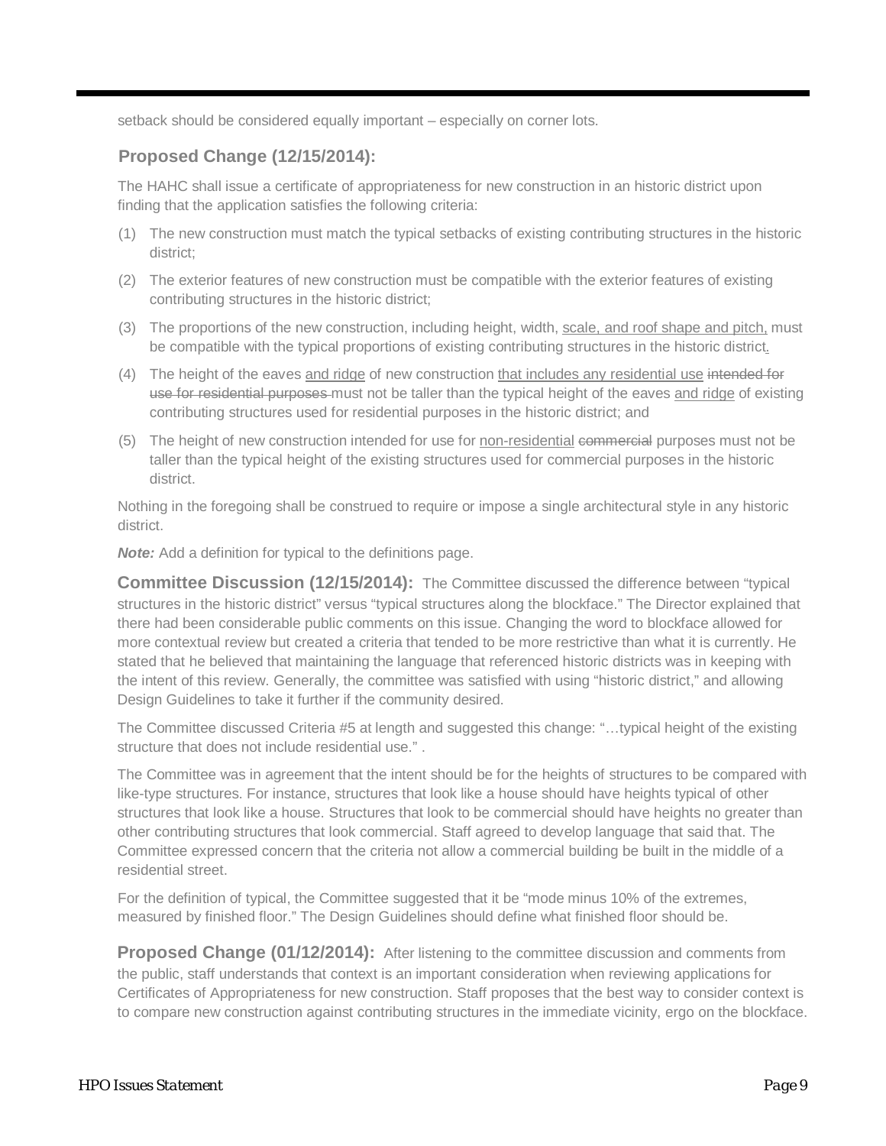setback should be considered equally important – especially on corner lots.

# **Proposed Change (12/15/2014):**

The HAHC shall issue a certificate of appropriateness for new construction in an historic district upon finding that the application satisfies the following criteria:

- (1) The new construction must match the typical setbacks of existing contributing structures in the historic district;
- (2) The exterior features of new construction must be compatible with the exterior features of existing contributing structures in the historic district;
- (3) The proportions of the new construction, including height, width, scale, and roof shape and pitch, must be compatible with the typical proportions of existing contributing structures in the historic district.
- (4) The height of the eaves and ridge of new construction that includes any residential use intended for use for residential purposes must not be taller than the typical height of the eaves and ridge of existing contributing structures used for residential purposes in the historic district; and
- (5) The height of new construction intended for use for non-residential commercial purposes must not be taller than the typical height of the existing structures used for commercial purposes in the historic district.

Nothing in the foregoing shall be construed to require or impose a single architectural style in any historic district.

*Note:* Add a definition for typical to the definitions page.

**Committee Discussion (12/15/2014):** The Committee discussed the difference between "typical structures in the historic district" versus "typical structures along the blockface." The Director explained that there had been considerable public comments on this issue. Changing the word to blockface allowed for more contextual review but created a criteria that tended to be more restrictive than what it is currently. He stated that he believed that maintaining the language that referenced historic districts was in keeping with the intent of this review. Generally, the committee was satisfied with using "historic district," and allowing Design Guidelines to take it further if the community desired.

The Committee discussed Criteria #5 at length and suggested this change: "…typical height of the existing structure that does not include residential use." .

The Committee was in agreement that the intent should be for the heights of structures to be compared with like-type structures. For instance, structures that look like a house should have heights typical of other structures that look like a house. Structures that look to be commercial should have heights no greater than other contributing structures that look commercial. Staff agreed to develop language that said that. The Committee expressed concern that the criteria not allow a commercial building be built in the middle of a residential street.

For the definition of typical, the Committee suggested that it be "mode minus 10% of the extremes, measured by finished floor." The Design Guidelines should define what finished floor should be.

Proposed Change (01/12/2014): After listening to the committee discussion and comments from the public, staff understands that context is an important consideration when reviewing applications for Certificates of Appropriateness for new construction. Staff proposes that the best way to consider context is to compare new construction against contributing structures in the immediate vicinity, ergo on the blockface.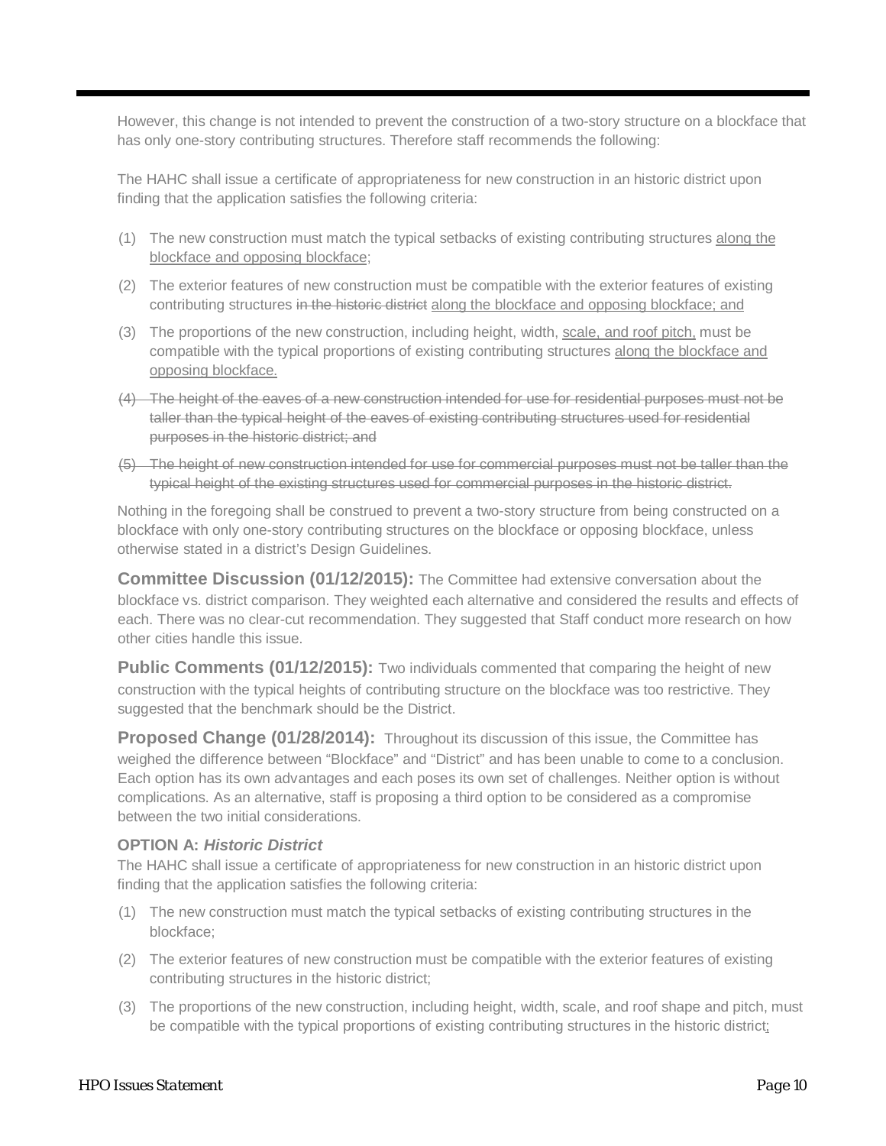However, this change is not intended to prevent the construction of a two-story structure on a blockface that has only one-story contributing structures. Therefore staff recommends the following:

The HAHC shall issue a certificate of appropriateness for new construction in an historic district upon finding that the application satisfies the following criteria:

- (1) The new construction must match the typical setbacks of existing contributing structures along the blockface and opposing blockface;
- (2) The exterior features of new construction must be compatible with the exterior features of existing contributing structures in the historic district along the blockface and opposing blockface; and
- (3) The proportions of the new construction, including height, width, scale, and roof pitch, must be compatible with the typical proportions of existing contributing structures along the blockface and opposing blockface.
- (4) The height of the eaves of a new construction intended for use for residential purposes must not be taller than the typical height of the eaves of existing contributing structures used for residential purposes in the historic district; and
- (5) The height of new construction intended for use for commercial purposes must not be taller than the typical height of the existing structures used for commercial purposes in the historic district.

Nothing in the foregoing shall be construed to prevent a two-story structure from being constructed on a blockface with only one-story contributing structures on the blockface or opposing blockface, unless otherwise stated in a district's Design Guidelines.

**Committee Discussion (01/12/2015):** The Committee had extensive conversation about the blockface vs. district comparison. They weighted each alternative and considered the results and effects of each. There was no clear-cut recommendation. They suggested that Staff conduct more research on how other cities handle this issue.

**Public Comments (01/12/2015):** Two individuals commented that comparing the height of new construction with the typical heights of contributing structure on the blockface was too restrictive. They suggested that the benchmark should be the District.

**Proposed Change (01/28/2014):** Throughout its discussion of this issue, the Committee has weighed the difference between "Blockface" and "District" and has been unable to come to a conclusion. Each option has its own advantages and each poses its own set of challenges. Neither option is without complications. As an alternative, staff is proposing a third option to be considered as a compromise between the two initial considerations.

#### **OPTION A:** *Historic District*

The HAHC shall issue a certificate of appropriateness for new construction in an historic district upon finding that the application satisfies the following criteria:

- (1) The new construction must match the typical setbacks of existing contributing structures in the blockface;
- (2) The exterior features of new construction must be compatible with the exterior features of existing contributing structures in the historic district;
- (3) The proportions of the new construction, including height, width, scale, and roof shape and pitch, must be compatible with the typical proportions of existing contributing structures in the historic district;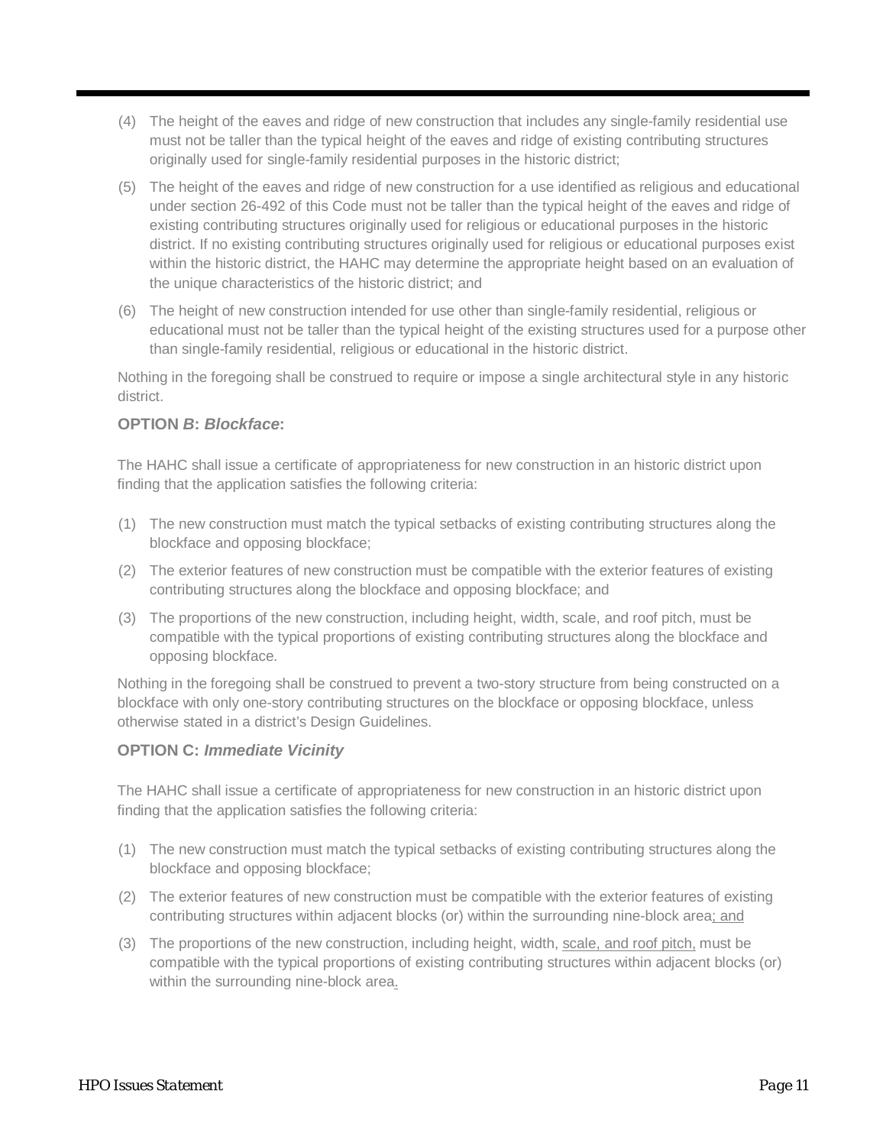- (4) The height of the eaves and ridge of new construction that includes any single-family residential use must not be taller than the typical height of the eaves and ridge of existing contributing structures originally used for single-family residential purposes in the historic district;
- (5) The height of the eaves and ridge of new construction for a use identified as religious and educational under section 26-492 of this Code must not be taller than the typical height of the eaves and ridge of existing contributing structures originally used for religious or educational purposes in the historic district. If no existing contributing structures originally used for religious or educational purposes exist within the historic district, the HAHC may determine the appropriate height based on an evaluation of the unique characteristics of the historic district; and
- (6) The height of new construction intended for use other than single-family residential, religious or educational must not be taller than the typical height of the existing structures used for a purpose other than single-family residential, religious or educational in the historic district.

Nothing in the foregoing shall be construed to require or impose a single architectural style in any historic district.

### **OPTION** *B***:** *Blockface***:**

The HAHC shall issue a certificate of appropriateness for new construction in an historic district upon finding that the application satisfies the following criteria:

- (1) The new construction must match the typical setbacks of existing contributing structures along the blockface and opposing blockface;
- (2) The exterior features of new construction must be compatible with the exterior features of existing contributing structures along the blockface and opposing blockface; and
- (3) The proportions of the new construction, including height, width, scale, and roof pitch, must be compatible with the typical proportions of existing contributing structures along the blockface and opposing blockface.

Nothing in the foregoing shall be construed to prevent a two-story structure from being constructed on a blockface with only one-story contributing structures on the blockface or opposing blockface, unless otherwise stated in a district's Design Guidelines.

### **OPTION C:** *Immediate Vicinity*

The HAHC shall issue a certificate of appropriateness for new construction in an historic district upon finding that the application satisfies the following criteria:

- (1) The new construction must match the typical setbacks of existing contributing structures along the blockface and opposing blockface;
- (2) The exterior features of new construction must be compatible with the exterior features of existing contributing structures within adjacent blocks (or) within the surrounding nine-block area; and
- (3) The proportions of the new construction, including height, width, scale, and roof pitch, must be compatible with the typical proportions of existing contributing structures within adjacent blocks (or) within the surrounding nine-block area.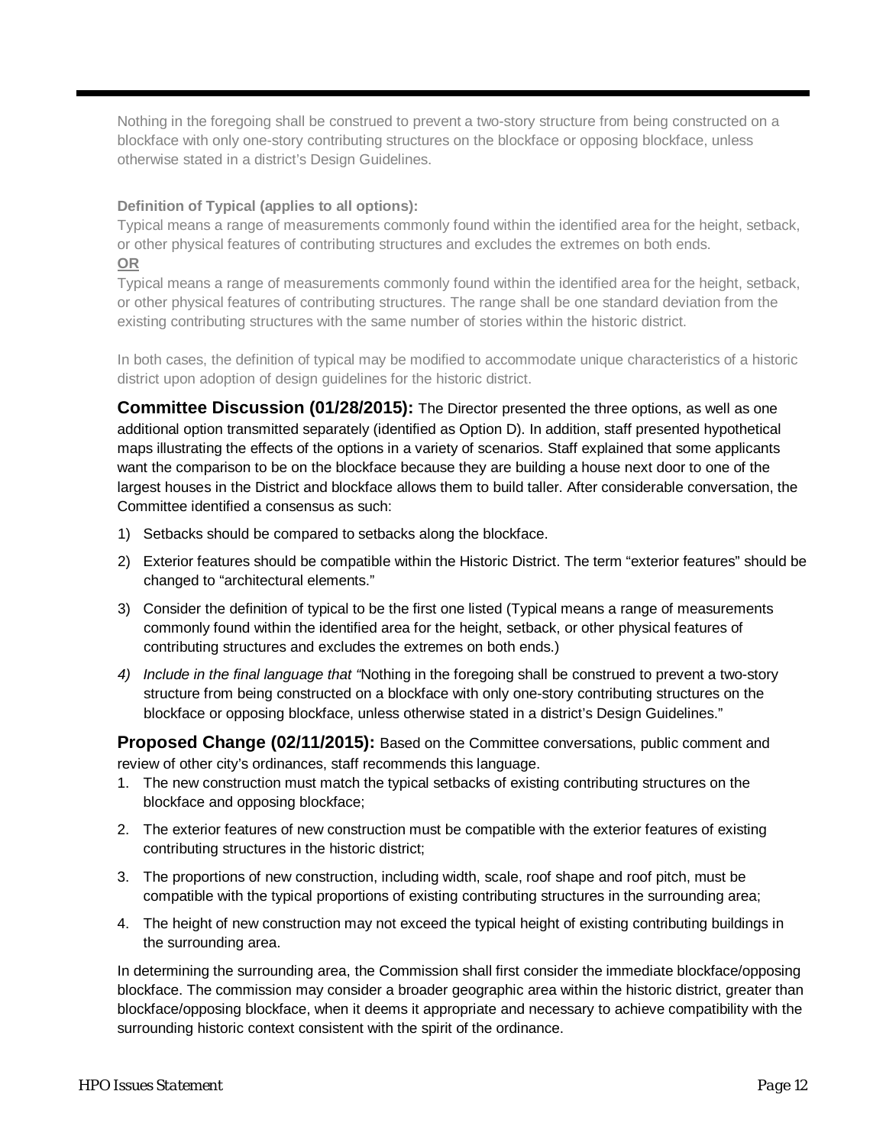Nothing in the foregoing shall be construed to prevent a two-story structure from being constructed on a blockface with only one-story contributing structures on the blockface or opposing blockface, unless otherwise stated in a district's Design Guidelines.

#### **Definition of Typical (applies to all options):**

Typical means a range of measurements commonly found within the identified area for the height, setback, or other physical features of contributing structures and excludes the extremes on both ends. **OR**

Typical means a range of measurements commonly found within the identified area for the height, setback, or other physical features of contributing structures. The range shall be one standard deviation from the existing contributing structures with the same number of stories within the historic district.

In both cases, the definition of typical may be modified to accommodate unique characteristics of a historic district upon adoption of design guidelines for the historic district.

**Committee Discussion (01/28/2015):** The Director presented the three options, as well as one additional option transmitted separately (identified as Option D). In addition, staff presented hypothetical maps illustrating the effects of the options in a variety of scenarios. Staff explained that some applicants want the comparison to be on the blockface because they are building a house next door to one of the largest houses in the District and blockface allows them to build taller. After considerable conversation, the Committee identified a consensus as such:

- 1) Setbacks should be compared to setbacks along the blockface.
- 2) Exterior features should be compatible within the Historic District. The term "exterior features" should be changed to "architectural elements."
- 3) Consider the definition of typical to be the first one listed (Typical means a range of measurements commonly found within the identified area for the height, setback, or other physical features of contributing structures and excludes the extremes on both ends.)
- *4) Include in the final language that "*Nothing in the foregoing shall be construed to prevent a two-story structure from being constructed on a blockface with only one-story contributing structures on the blockface or opposing blockface, unless otherwise stated in a district's Design Guidelines."

**Proposed Change (02/11/2015):** Based on the Committee conversations, public comment and review of other city's ordinances, staff recommends this language.

- 1. The new construction must match the typical setbacks of existing contributing structures on the blockface and opposing blockface;
- 2. The exterior features of new construction must be compatible with the exterior features of existing contributing structures in the historic district;
- 3. The proportions of new construction, including width, scale, roof shape and roof pitch, must be compatible with the typical proportions of existing contributing structures in the surrounding area;
- 4. The height of new construction may not exceed the typical height of existing contributing buildings in the surrounding area.

In determining the surrounding area, the Commission shall first consider the immediate blockface/opposing blockface. The commission may consider a broader geographic area within the historic district, greater than blockface/opposing blockface, when it deems it appropriate and necessary to achieve compatibility with the surrounding historic context consistent with the spirit of the ordinance.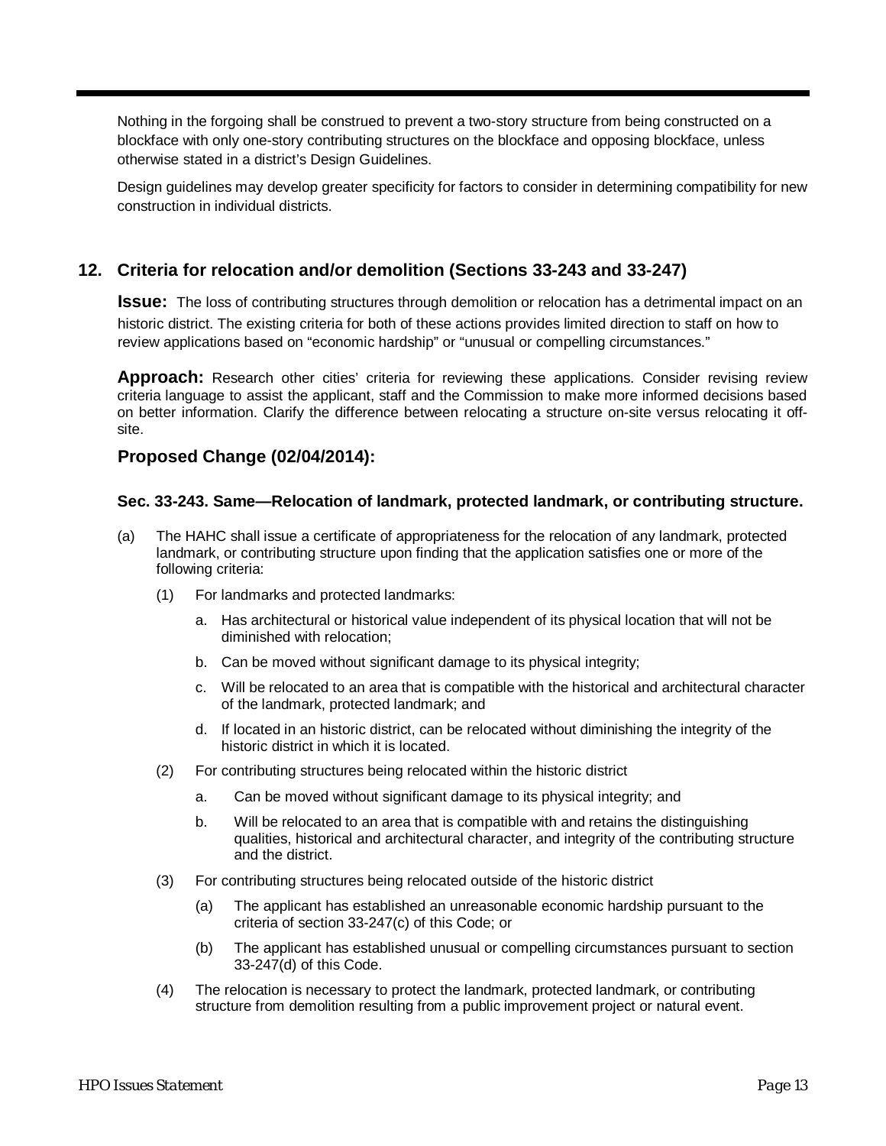Nothing in the forgoing shall be construed to prevent a two-story structure from being constructed on a blockface with only one-story contributing structures on the blockface and opposing blockface, unless otherwise stated in a district's Design Guidelines.

Design guidelines may develop greater specificity for factors to consider in determining compatibility for new construction in individual districts.

## **12. Criteria for relocation and/or demolition (Sections 33-243 and 33-247)**

**Issue:** The loss of contributing structures through demolition or relocation has a detrimental impact on an historic district. The existing criteria for both of these actions provides limited direction to staff on how to review applications based on "economic hardship" or "unusual or compelling circumstances."

**Approach:** Research other cities' criteria for reviewing these applications. Consider revising review criteria language to assist the applicant, staff and the Commission to make more informed decisions based on better information. Clarify the difference between relocating a structure on-site versus relocating it offsite.

### **Proposed Change (02/04/2014):**

#### **Sec. 33-243. Same—Relocation of landmark, protected landmark, or contributing structure.**

- (a) The HAHC shall issue a certificate of appropriateness for the relocation of any landmark, protected landmark, or contributing structure upon finding that the application satisfies one or more of the following criteria:
	- (1) For landmarks and protected landmarks:
		- a. Has architectural or historical value independent of its physical location that will not be diminished with relocation;
		- b. Can be moved without significant damage to its physical integrity;
		- c. Will be relocated to an area that is compatible with the historical and architectural character of the landmark, protected landmark; and
		- d. If located in an historic district, can be relocated without diminishing the integrity of the historic district in which it is located.
	- (2) For contributing structures being relocated within the historic district
		- a. Can be moved without significant damage to its physical integrity; and
		- b. Will be relocated to an area that is compatible with and retains the distinguishing qualities, historical and architectural character, and integrity of the contributing structure and the district.
	- (3) For contributing structures being relocated outside of the historic district
		- (a) The applicant has established an unreasonable economic hardship pursuant to the criteria of section 33-247(c) of this Code; or
		- (b) The applicant has established unusual or compelling circumstances pursuant to section 33-247(d) of this Code.
	- (4) The relocation is necessary to protect the landmark, protected landmark, or contributing structure from demolition resulting from a public improvement project or natural event.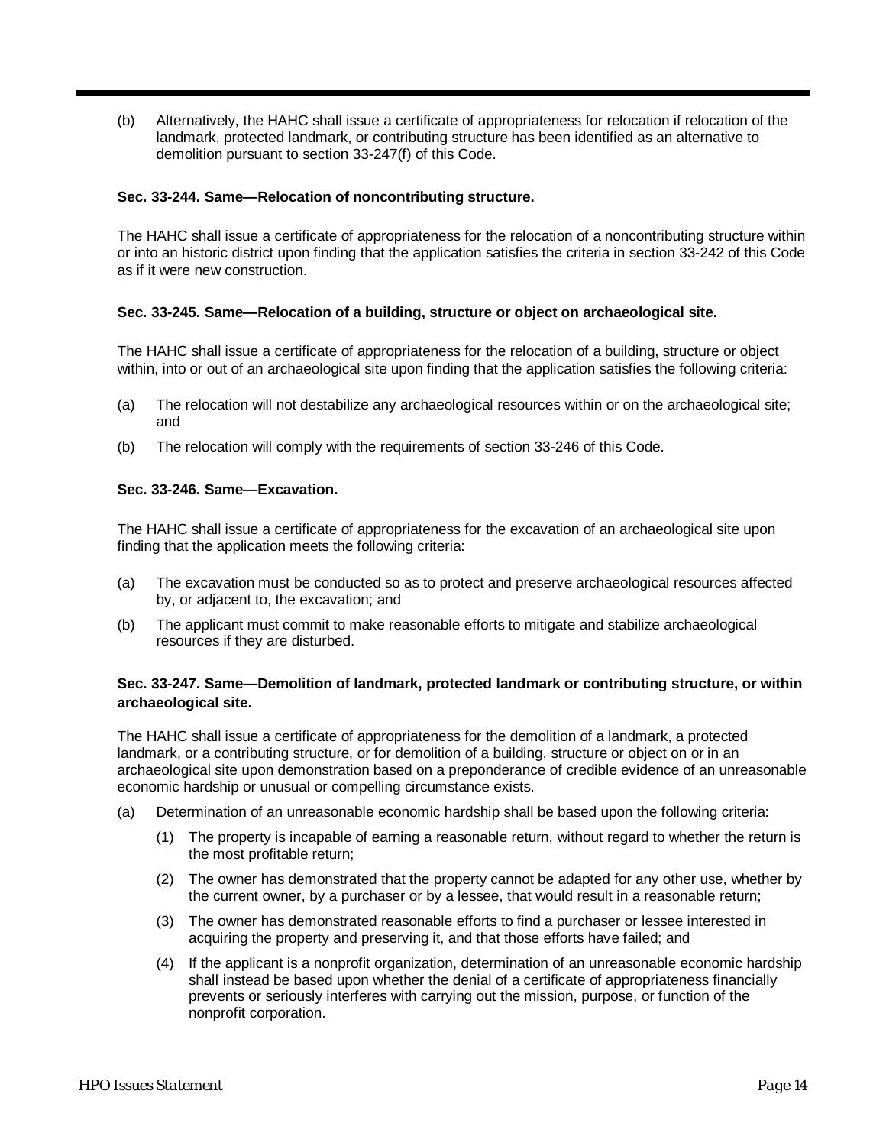(b) Alternatively, the HAHC shall issue a certificate of appropriateness for relocation if relocation of the landmark, protected landmark, or contributing structure has been identified as an alternative to demolition pursuant to section 33-247(f) of this Code.

#### **Sec. 33-244. Same—Relocation of noncontributing structure.**

The HAHC shall issue a certificate of appropriateness for the relocation of a noncontributing structure within or into an historic district upon finding that the application satisfies the criteria in section 33-242 of this Code as if it were new construction.

#### **Sec. 33-245. Same—Relocation of a building, structure or object on archaeological site.**

The HAHC shall issue a certificate of appropriateness for the relocation of a building, structure or object within, into or out of an archaeological site upon finding that the application satisfies the following criteria:

- (a) The relocation will not destabilize any archaeological resources within or on the archaeological site; and
- (b) The relocation will comply with the requirements of section 33-246 of this Code.

#### **Sec. 33-246. Same—Excavation.**

The HAHC shall issue a certificate of appropriateness for the excavation of an archaeological site upon finding that the application meets the following criteria:

- (a) The excavation must be conducted so as to protect and preserve archaeological resources affected by, or adjacent to, the excavation; and
- (b) The applicant must commit to make reasonable efforts to mitigate and stabilize archaeological resources if they are disturbed.

#### **Sec. 33-247. Same—Demolition of landmark, protected landmark or contributing structure, or within archaeological site.**

The HAHC shall issue a certificate of appropriateness for the demolition of a landmark, a protected landmark, or a contributing structure, or for demolition of a building, structure or object on or in an archaeological site upon demonstration based on a preponderance of credible evidence of an unreasonable economic hardship or unusual or compelling circumstance exists.

- (a) Determination of an unreasonable economic hardship shall be based upon the following criteria:
	- (1) The property is incapable of earning a reasonable return, without regard to whether the return is the most profitable return;
	- (2) The owner has demonstrated that the property cannot be adapted for any other use, whether by the current owner, by a purchaser or by a lessee, that would result in a reasonable return;
	- (3) The owner has demonstrated reasonable efforts to find a purchaser or lessee interested in acquiring the property and preserving it, and that those efforts have failed; and
	- (4) If the applicant is a nonprofit organization, determination of an unreasonable economic hardship shall instead be based upon whether the denial of a certificate of appropriateness financially prevents or seriously interferes with carrying out the mission, purpose, or function of the nonprofit corporation.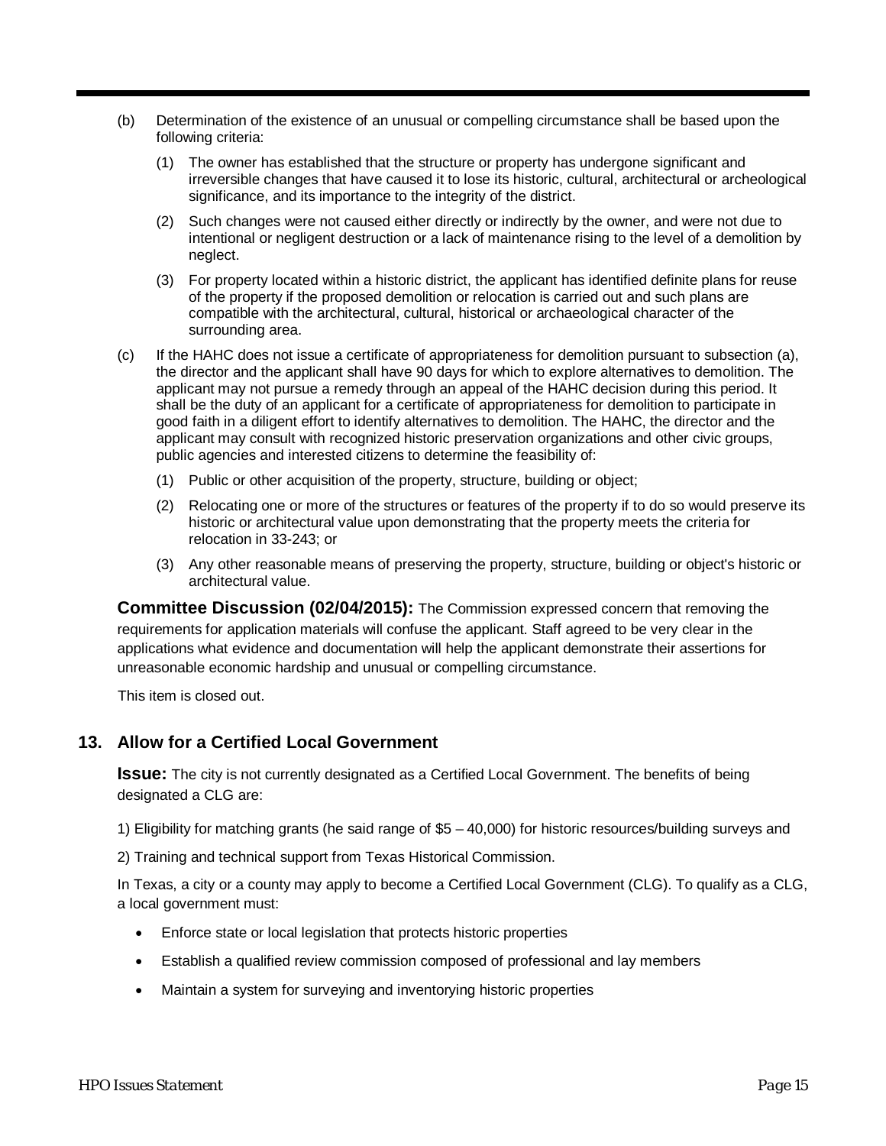- (b) Determination of the existence of an unusual or compelling circumstance shall be based upon the following criteria:
	- (1) The owner has established that the structure or property has undergone significant and irreversible changes that have caused it to lose its historic, cultural, architectural or archeological significance, and its importance to the integrity of the district.
	- (2) Such changes were not caused either directly or indirectly by the owner, and were not due to intentional or negligent destruction or a lack of maintenance rising to the level of a demolition by neglect.
	- (3) For property located within a historic district, the applicant has identified definite plans for reuse of the property if the proposed demolition or relocation is carried out and such plans are compatible with the architectural, cultural, historical or archaeological character of the surrounding area.
- (c) If the HAHC does not issue a certificate of appropriateness for demolition pursuant to subsection (a), the director and the applicant shall have 90 days for which to explore alternatives to demolition. The applicant may not pursue a remedy through an appeal of the HAHC decision during this period. It shall be the duty of an applicant for a certificate of appropriateness for demolition to participate in good faith in a diligent effort to identify alternatives to demolition. The HAHC, the director and the applicant may consult with recognized historic preservation organizations and other civic groups, public agencies and interested citizens to determine the feasibility of:
	- (1) Public or other acquisition of the property, structure, building or object;
	- (2) Relocating one or more of the structures or features of the property if to do so would preserve its historic or architectural value upon demonstrating that the property meets the criteria for relocation in 33-243; or
	- (3) Any other reasonable means of preserving the property, structure, building or object's historic or architectural value.

**Committee Discussion (02/04/2015):** The Commission expressed concern that removing the requirements for application materials will confuse the applicant. Staff agreed to be very clear in the applications what evidence and documentation will help the applicant demonstrate their assertions for unreasonable economic hardship and unusual or compelling circumstance.

This item is closed out.

### **13. Allow for a Certified Local Government**

**Issue:** The city is not currently designated as a Certified Local Government. The benefits of being designated a CLG are:

1) Eligibility for matching grants (he said range of \$5 – 40,000) for historic resources/building surveys and

2) Training and technical support from Texas Historical Commission.

In Texas, a city or a county may apply to become a Certified Local Government (CLG). To qualify as a CLG, a local government must:

- Enforce state or local legislation that protects historic properties
- Establish a qualified review commission composed of professional and lay members
- Maintain a system for surveying and inventorying historic properties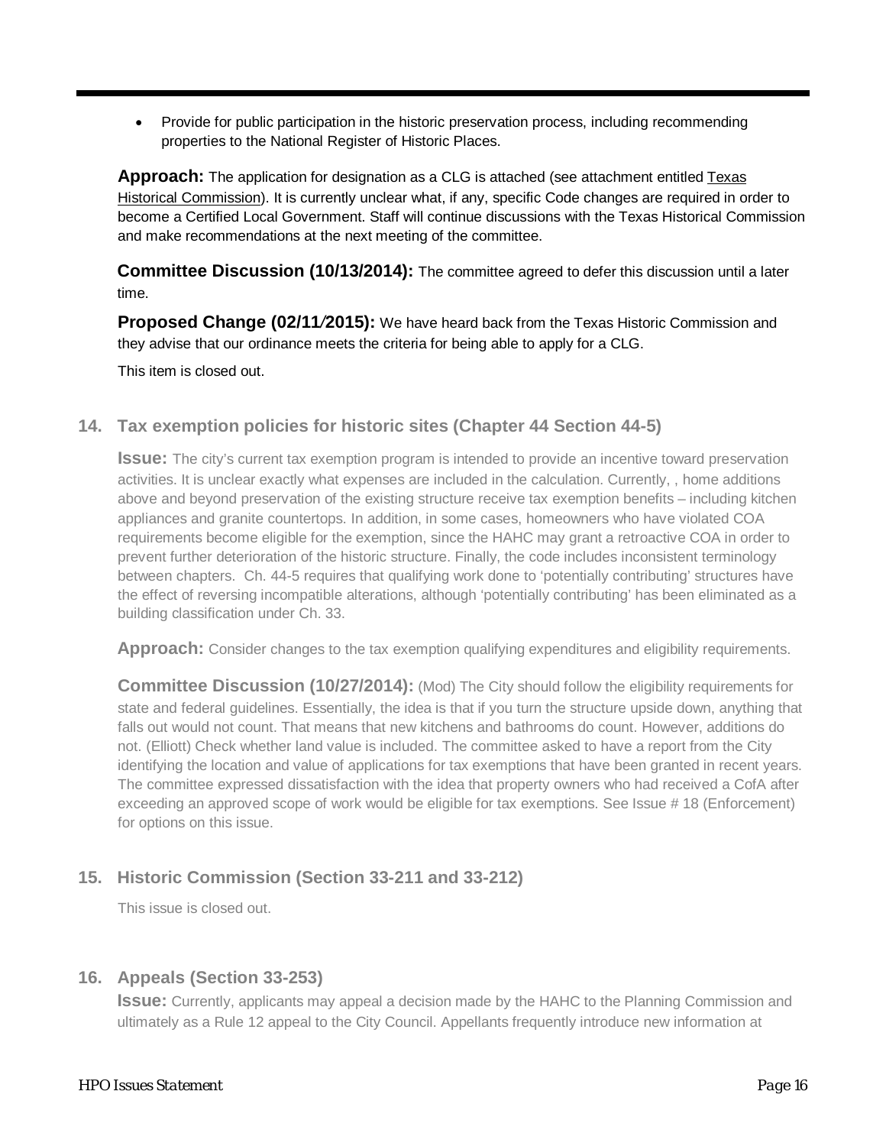• Provide for public participation in the historic preservation process, including recommending properties to the National Register of Historic Places.

**Approach:** The application for designation as a CLG is attached (see attachment entitled Texas Historical Commission). It is currently unclear what, if any, specific Code changes are required in order to become a Certified Local Government. Staff will continue discussions with the Texas Historical Commission and make recommendations at the next meeting of the committee.

**Committee Discussion (10/13/2014):** The committee agreed to defer this discussion until a later time.

**Proposed Change (02/11***/***2015):** We have heard back from the Texas Historic Commission and they advise that our ordinance meets the criteria for being able to apply for a CLG.

This item is closed out.

### **14. Tax exemption policies for historic sites (Chapter 44 Section 44-5)**

**Issue:** The city's current tax exemption program is intended to provide an incentive toward preservation activities. It is unclear exactly what expenses are included in the calculation. Currently, , home additions above and beyond preservation of the existing structure receive tax exemption benefits – including kitchen appliances and granite countertops. In addition, in some cases, homeowners who have violated COA requirements become eligible for the exemption, since the HAHC may grant a retroactive COA in order to prevent further deterioration of the historic structure. Finally, the code includes inconsistent terminology between chapters. Ch. 44-5 requires that qualifying work done to 'potentially contributing' structures have the effect of reversing incompatible alterations, although 'potentially contributing' has been eliminated as a building classification under Ch. 33.

**Approach:** Consider changes to the tax exemption qualifying expenditures and eligibility requirements.

**Committee Discussion (10/27/2014):** (Mod) The City should follow the eligibility requirements for state and federal guidelines. Essentially, the idea is that if you turn the structure upside down, anything that falls out would not count. That means that new kitchens and bathrooms do count. However, additions do not. (Elliott) Check whether land value is included. The committee asked to have a report from the City identifying the location and value of applications for tax exemptions that have been granted in recent years. The committee expressed dissatisfaction with the idea that property owners who had received a CofA after exceeding an approved scope of work would be eligible for tax exemptions. See Issue # 18 (Enforcement) for options on this issue.

# **15. Historic Commission (Section 33-211 and 33-212)**

This issue is closed out.

### **16. Appeals (Section 33-253)**

**Issue:** Currently, applicants may appeal a decision made by the HAHC to the Planning Commission and ultimately as a Rule 12 appeal to the City Council. Appellants frequently introduce new information at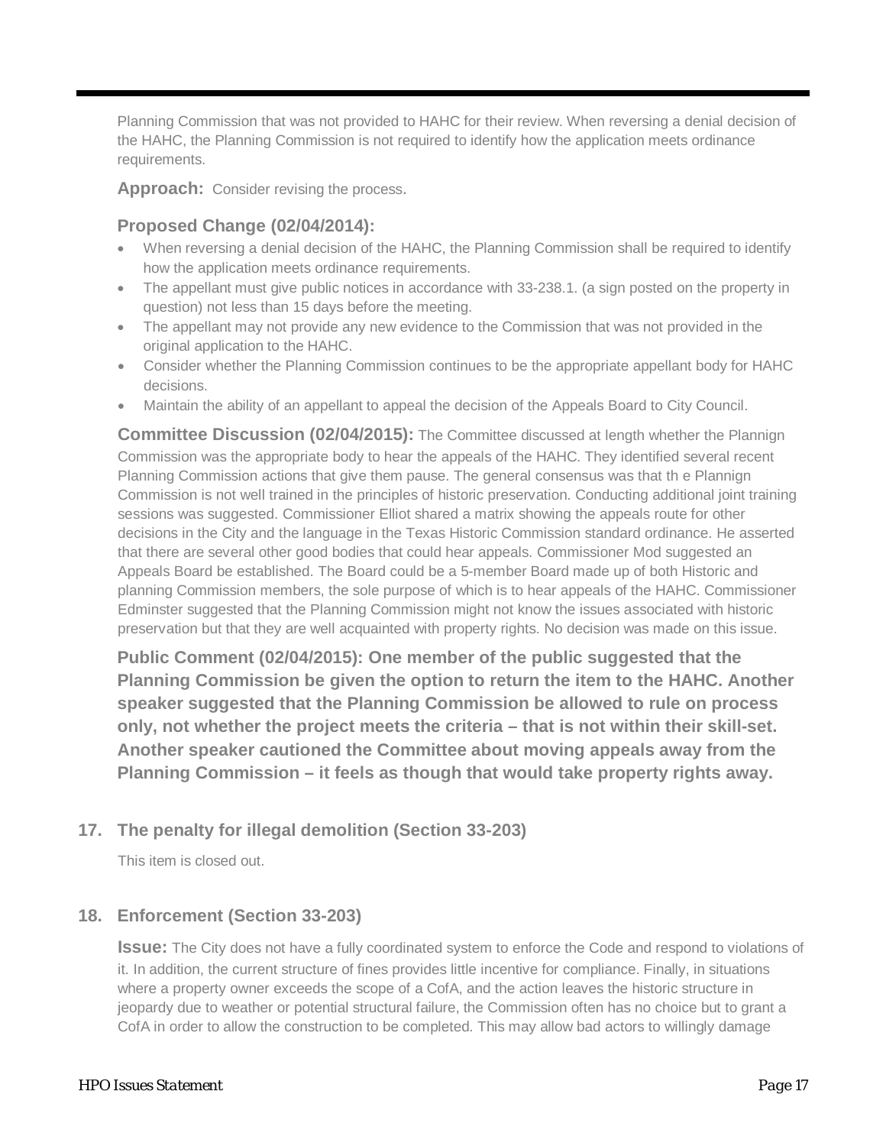Planning Commission that was not provided to HAHC for their review. When reversing a denial decision of the HAHC, the Planning Commission is not required to identify how the application meets ordinance requirements.

**Approach:** Consider revising the process.

### **Proposed Change (02/04/2014):**

- When reversing a denial decision of the HAHC, the Planning Commission shall be required to identify how the application meets ordinance requirements.
- The appellant must give public notices in accordance with 33-238.1. (a sign posted on the property in question) not less than 15 days before the meeting.
- The appellant may not provide any new evidence to the Commission that was not provided in the original application to the HAHC.
- Consider whether the Planning Commission continues to be the appropriate appellant body for HAHC decisions.
- Maintain the ability of an appellant to appeal the decision of the Appeals Board to City Council.

**Committee Discussion (02/04/2015):** The Committee discussed at length whether the Plannign Commission was the appropriate body to hear the appeals of the HAHC. They identified several recent Planning Commission actions that give them pause. The general consensus was that th e Plannign Commission is not well trained in the principles of historic preservation. Conducting additional joint training sessions was suggested. Commissioner Elliot shared a matrix showing the appeals route for other decisions in the City and the language in the Texas Historic Commission standard ordinance. He asserted that there are several other good bodies that could hear appeals. Commissioner Mod suggested an Appeals Board be established. The Board could be a 5-member Board made up of both Historic and planning Commission members, the sole purpose of which is to hear appeals of the HAHC. Commissioner Edminster suggested that the Planning Commission might not know the issues associated with historic preservation but that they are well acquainted with property rights. No decision was made on this issue.

**Public Comment (02/04/2015): One member of the public suggested that the Planning Commission be given the option to return the item to the HAHC. Another speaker suggested that the Planning Commission be allowed to rule on process only, not whether the project meets the criteria – that is not within their skill-set. Another speaker cautioned the Committee about moving appeals away from the Planning Commission – it feels as though that would take property rights away.**

### **17. The penalty for illegal demolition (Section 33-203)**

This item is closed out.

### **18. Enforcement (Section 33-203)**

**Issue:** The City does not have a fully coordinated system to enforce the Code and respond to violations of it. In addition, the current structure of fines provides little incentive for compliance. Finally, in situations where a property owner exceeds the scope of a CofA, and the action leaves the historic structure in jeopardy due to weather or potential structural failure, the Commission often has no choice but to grant a CofA in order to allow the construction to be completed. This may allow bad actors to willingly damage